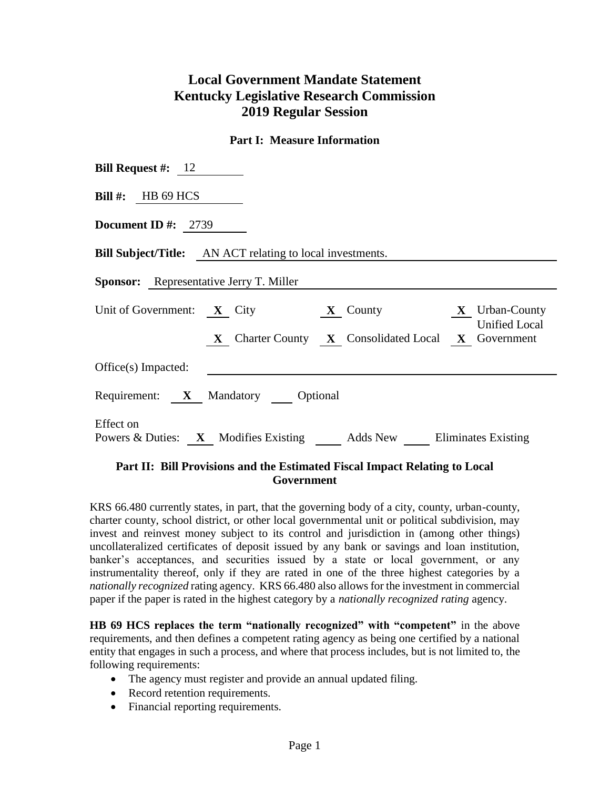## **Local Government Mandate Statement Kentucky Legislative Research Commission 2019 Regular Session**

## **Part I: Measure Information**

| <b>Bill Request #:</b> $12$                                                         |  |  |  |  |  |  |
|-------------------------------------------------------------------------------------|--|--|--|--|--|--|
| Bill $\#$ : HB 69 HCS                                                               |  |  |  |  |  |  |
| Document ID #: $2739$                                                               |  |  |  |  |  |  |
| <b>Bill Subject/Title:</b> AN ACT relating to local investments.                    |  |  |  |  |  |  |
| <b>Sponsor:</b> Representative Jerry T. Miller                                      |  |  |  |  |  |  |
| Unit of Government: $X$ City<br>$X$ County $X$ Urban-County<br><b>Unified Local</b> |  |  |  |  |  |  |
| X Charter County X Consolidated Local X Government                                  |  |  |  |  |  |  |
| Office(s) Impacted:                                                                 |  |  |  |  |  |  |
| Requirement: X Mandatory Optional                                                   |  |  |  |  |  |  |
| Effect on<br>Powers & Duties: X Modifies Existing Adds New Eliminates Existing      |  |  |  |  |  |  |

## **Part II: Bill Provisions and the Estimated Fiscal Impact Relating to Local Government**

KRS 66.480 currently states, in part, that the governing body of a city, county, urban-county, charter county, school district, or other local governmental unit or political subdivision, may invest and reinvest money subject to its control and jurisdiction in (among other things) uncollateralized certificates of deposit issued by any bank or savings and loan institution, banker's acceptances, and securities issued by a state or local government, or any instrumentality thereof, only if they are rated in one of the three highest categories by a *nationally recognized* rating agency. KRS 66.480 also allows for the investment in commercial paper if the paper is rated in the highest category by a *nationally recognized rating* agency.

**HB 69 HCS replaces the term "nationally recognized" with "competent"** in the above requirements, and then defines a competent rating agency as being one certified by a national entity that engages in such a process, and where that process includes, but is not limited to, the following requirements:

- The agency must register and provide an annual updated filing.
- Record retention requirements.
- Financial reporting requirements.